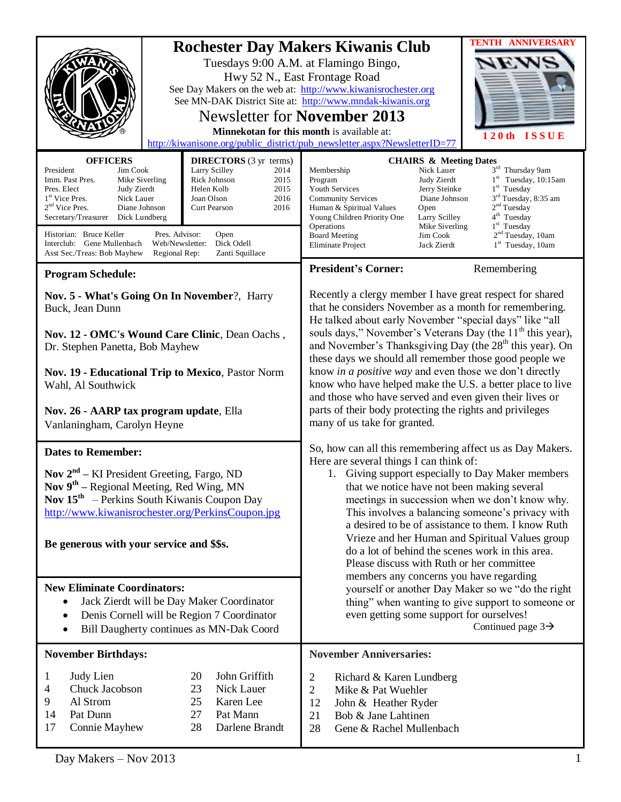| <b>OFFICERS</b><br><b>DIRECTORS</b> (3 yr terms)<br>President<br>Jim Cook<br>Larry Scilley<br>2014<br>Rick Johnson<br>Imm. Past Pres.<br>Mike Siverling<br>2015<br>Pres. Elect<br>Judy Zierdt<br>Helen Kolb<br>2015<br>1 <sup>st</sup> Vice Pres.<br>Nick Lauer<br>Joan Olson<br>2016<br>$2nd$ Vice Pres.<br>Diane Johnson<br><b>Curt Pearson</b><br>2016<br>Secretary/Treasurer<br>Dick Lundberg | <b>TENTH ANNIVERSARY</b><br><b>Rochester Day Makers Kiwanis Club</b><br>Tuesdays 9:00 A.M. at Flamingo Bingo,<br>Hwy 52 N., East Frontage Road<br>See Day Makers on the web at: http://www.kiwanisrochester.org<br>See MN-DAK District Site at: http://www.mndak-kiwanis.org<br><b>Newsletter for November 2013</b><br>Minnekotan for this month is available at:<br>120th ISSUE<br>http://kiwanisone.org/public_district/pub_newsletter.aspx?NewsletterID=77<br><b>CHAIRS &amp; Meeting Dates</b><br>3rd Thursday 9am<br>Nick Lauer<br>Membership<br>$1st$ Tuesday, 10:15am<br>Program<br>Judy Zierdt<br>$1st$ Tuesday<br>Jerry Steinke<br><b>Youth Services</b><br>3 <sup>rd</sup> Tuesday, 8:35 am<br>Diane Johnson<br><b>Community Services</b><br>2 <sup>nd</sup> Tuesday<br>Human & Spiritual Values<br>Open<br>4 <sup>th</sup> Tuesday<br>Larry Scilley<br>Young Children Priority One |  |  |  |  |
|---------------------------------------------------------------------------------------------------------------------------------------------------------------------------------------------------------------------------------------------------------------------------------------------------------------------------------------------------------------------------------------------------|-----------------------------------------------------------------------------------------------------------------------------------------------------------------------------------------------------------------------------------------------------------------------------------------------------------------------------------------------------------------------------------------------------------------------------------------------------------------------------------------------------------------------------------------------------------------------------------------------------------------------------------------------------------------------------------------------------------------------------------------------------------------------------------------------------------------------------------------------------------------------------------------------|--|--|--|--|
| Historian: Bruce Keller<br>Pres. Advisor:<br>Open<br>Dick Odell<br>Interclub: Gene Mullenbach<br>Web/Newsletter:<br>Asst Sec./Treas: Bob Mayhew<br>Regional Rep:<br>Zanti Squillace                                                                                                                                                                                                               | 1 <sup>st</sup> Tuesday<br>Mike Siverling<br>Operations<br>2 <sup>nd</sup> Tuesday, 10am<br><b>Board Meeting</b><br>Jim Cook<br>1 <sup>st</sup> Tuesday, 10am<br>Eliminate Project<br>Jack Zierdt                                                                                                                                                                                                                                                                                                                                                                                                                                                                                                                                                                                                                                                                                             |  |  |  |  |
| <b>Program Schedule:</b>                                                                                                                                                                                                                                                                                                                                                                          | <b>President's Corner:</b><br>Remembering                                                                                                                                                                                                                                                                                                                                                                                                                                                                                                                                                                                                                                                                                                                                                                                                                                                     |  |  |  |  |
| Nov. 5 - What's Going On In November?, Harry<br>Buck, Jean Dunn<br>Nov. 12 - OMC's Wound Care Clinic, Dean Oachs,                                                                                                                                                                                                                                                                                 | Recently a clergy member I have great respect for shared<br>that he considers November as a month for remembering.<br>He talked about early November "special days" like "all                                                                                                                                                                                                                                                                                                                                                                                                                                                                                                                                                                                                                                                                                                                 |  |  |  |  |
| Dr. Stephen Panetta, Bob Mayhew                                                                                                                                                                                                                                                                                                                                                                   | souls days," November's Veterans Day (the 11 <sup>th</sup> this year),<br>and November's Thanksgiving Day (the 28 <sup>th</sup> this year). On                                                                                                                                                                                                                                                                                                                                                                                                                                                                                                                                                                                                                                                                                                                                                |  |  |  |  |
| Nov. 19 - Educational Trip to Mexico, Pastor Norm<br>Wahl, Al Southwick<br>Nov. 26 - AARP tax program update, Ella<br>Vanlaningham, Carolyn Heyne                                                                                                                                                                                                                                                 | these days we should all remember those good people we<br>know in a positive way and even those we don't directly<br>know who have helped make the U.S. a better place to live<br>and those who have served and even given their lives or<br>parts of their body protecting the rights and privileges<br>many of us take for granted.                                                                                                                                                                                                                                                                                                                                                                                                                                                                                                                                                         |  |  |  |  |
| <b>Dates to Remember:</b>                                                                                                                                                                                                                                                                                                                                                                         | So, how can all this remembering affect us as Day Makers.                                                                                                                                                                                                                                                                                                                                                                                                                                                                                                                                                                                                                                                                                                                                                                                                                                     |  |  |  |  |
| <b>Nov</b> $2^{nd}$ – KI President Greeting, Fargo, ND<br>Nov 9 <sup>th</sup> – Regional Meeting, Red Wing, MN<br><b>Nov 15<sup>th</sup></b> – Perkins South Kiwanis Coupon Day<br>http://www.kiwanisrochester.org/PerkinsCoupon.jpg<br>Be generous with your service and \$\$s.                                                                                                                  | Here are several things I can think of:<br>1. Giving support especially to Day Maker members<br>that we notice have not been making several<br>meetings in succession when we don't know why.<br>This involves a balancing someone's privacy with<br>a desired to be of assistance to them. I know Ruth<br>Vrieze and her Human and Spiritual Values group<br>do a lot of behind the scenes work in this area.<br>Please discuss with Ruth or her committee<br>members any concerns you have regarding<br>yourself or another Day Maker so we "do the right<br>thing" when wanting to give support to someone or<br>even getting some support for ourselves!<br>Continued page $3\rightarrow$                                                                                                                                                                                                 |  |  |  |  |
| <b>New Eliminate Coordinators:</b><br>Jack Zierdt will be Day Maker Coordinator<br>Denis Cornell will be Region 7 Coordinator<br>Bill Daugherty continues as MN-Dak Coord<br>٠                                                                                                                                                                                                                    |                                                                                                                                                                                                                                                                                                                                                                                                                                                                                                                                                                                                                                                                                                                                                                                                                                                                                               |  |  |  |  |
| <b>November Birthdays:</b>                                                                                                                                                                                                                                                                                                                                                                        | <b>November Anniversaries:</b>                                                                                                                                                                                                                                                                                                                                                                                                                                                                                                                                                                                                                                                                                                                                                                                                                                                                |  |  |  |  |
| John Griffith<br>Judy Lien<br>20<br>1<br>Chuck Jacobson<br>23<br>Nick Lauer<br>4<br>9<br>Al Strom<br>25<br>Karen Lee<br>Pat Mann<br>Pat Dunn<br>27<br>14<br>17<br>28<br>Darlene Brandt<br>Connie Mayhew                                                                                                                                                                                           | 2<br>Richard & Karen Lundberg<br>$\overline{2}$<br>Mike & Pat Wuehler<br>12<br>John & Heather Ryder<br>21<br>Bob & Jane Lahtinen<br>28<br>Gene & Rachel Mullenbach                                                                                                                                                                                                                                                                                                                                                                                                                                                                                                                                                                                                                                                                                                                            |  |  |  |  |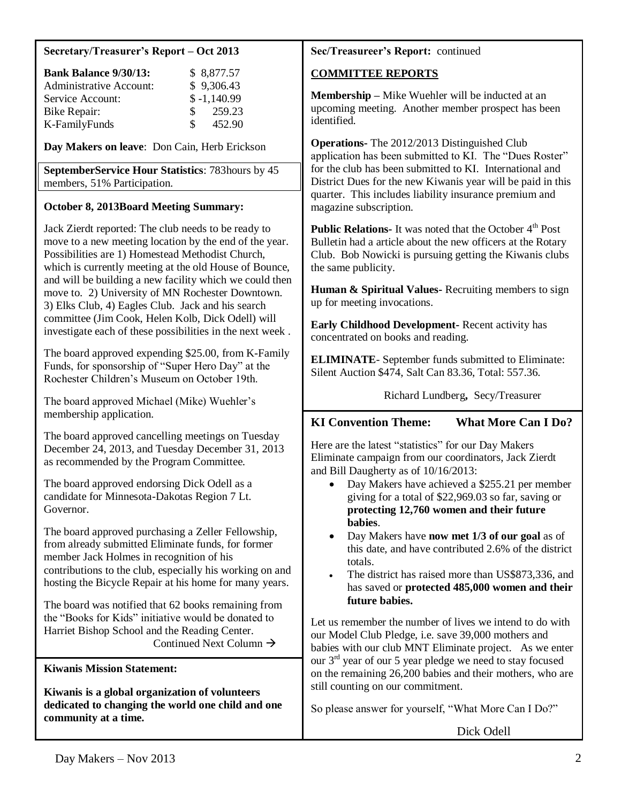#### **Secretary/Treasurer's Report – Oct 2013**

| <b>Bank Balance 9/30/13:</b>   |               | \$8,877.57    |
|--------------------------------|---------------|---------------|
| <b>Administrative Account:</b> |               | \$9,306.43    |
| Service Account:               |               | $$ -1,140.99$ |
| Bike Repair:                   | $\mathcal{S}$ | 259.23        |
| K-FamilyFunds                  | SS.           | 452.90        |

**Day Makers on leave**: Don Cain, Herb Erickson

**SeptemberService Hour Statistics**: 783hours by 45 members, 51% Participation.

### **October 8, 2013Board Meeting Summary:**

Jack Zierdt reported: The club needs to be ready to move to a new meeting location by the end of the year. Possibilities are 1) Homestead Methodist Church, which is currently meeting at the old House of Bounce, and will be building a new facility which we could then move to. 2) University of MN Rochester Downtown. 3) Elks Club, 4) Eagles Club. Jack and his search committee (Jim Cook, Helen Kolb, Dick Odell) will investigate each of these possibilities in the next week .

The board approved expending \$25.00, from K-Family Funds, for sponsorship of "Super Hero Day" at the Rochester Children's Museum on October 19th.

The board approved Michael (Mike) Wuehler's membership application.

The board approved cancelling meetings on Tuesday December 24, 2013, and Tuesday December 31, 2013 as recommended by the Program Committee.

The board approved endorsing Dick Odell as a candidate for Minnesota-Dakotas Region 7 Lt. Governor.

The board approved purchasing a Zeller Fellowship, from already submitted Eliminate funds, for former member Jack Holmes in recognition of his contributions to the club, especially his working on and hosting the Bicycle Repair at his home for many years.

The board was notified that 62 books remaining from the "Books for Kids" initiative would be donated to Harriet Bishop School and the Reading Center. Continued Next Column  $\rightarrow$ 

**Kiwanis Mission Statement:**

**Kiwanis is a global organization of volunteers dedicated to changing the world one child and one community at a time.**

### **Sec/Treasureer's Report:** continued

### **COMMITTEE REPORTS**

**Membership –** Mike Wuehler will be inducted at an upcoming meeting. Another member prospect has been identified.

**Operations-** The 2012/2013 Distinguished Club application has been submitted to KI. The "Dues Roster" for the club has been submitted to KI. International and District Dues for the new Kiwanis year will be paid in this quarter. This includes liability insurance premium and magazine subscription.

**Public Relations-** It was noted that the October 4<sup>th</sup> Post Bulletin had a article about the new officers at the Rotary Club. Bob Nowicki is pursuing getting the Kiwanis clubs the same publicity.

**Human & Spiritual Values-** Recruiting members to sign up for meeting invocations.

**Early Childhood Development-** Recent activity has concentrated on books and reading.

**ELIMINATE**- September funds submitted to Eliminate: Silent Auction \$474, Salt Can 83.36, Total: 557.36.

Richard Lundberg**,** Secy/Treasurer

# **KI Convention Theme: What More Can I Do?**

Here are the latest "statistics" for our Day Makers Eliminate campaign from our coordinators, Jack Zierdt and Bill Daugherty as of 10/16/2013:

- Day Makers have achieved a \$255.21 per member giving for a total of \$22,969.03 so far, saving or **protecting 12,760 women and their future babies**.
- Day Makers have **now met 1/3 of our goal** as of this date, and have contributed 2.6% of the district totals.
- The district has raised more than US\$873,336, and has saved or **protected 485,000 women and their future babies.**

Let us remember the number of lives we intend to do with our Model Club Pledge, i.e. save 39,000 mothers and babies with our club MNT Eliminate project. As we enter our  $3<sup>rd</sup>$  year of our 5 year pledge we need to stay focused on the remaining 26,200 babies and their mothers, who are still counting on our commitment.

So please answer for yourself, "What More Can I Do?"

Dick Odell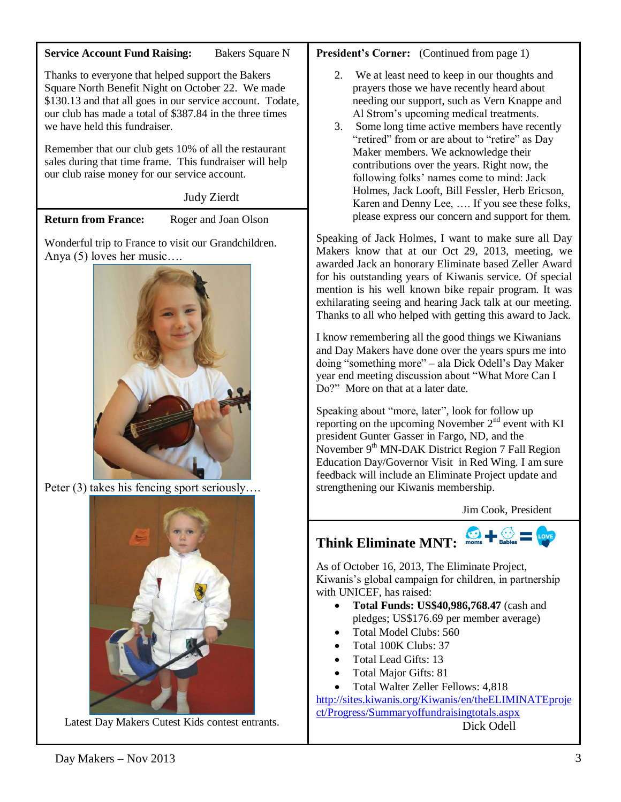#### **Service Account Fund Raising:** Bakers Square N

Thanks to everyone that helped support the Bakers Square North Benefit Night on October 22. We made \$130.13 and that all goes in our service account. Todate, our club has made a total of \$387.84 in the three times we have held this fundraiser.

Remember that our club gets 10% of all the restaurant sales during that time frame. This fundraiser will help our club raise money for our service account.

# Judy Zierdt

**Return from France:** Roger and Joan Olson

Wonderful trip to France to visit our Grandchildren. Anya (5) loves her music….



Peter (3) takes his fencing sport seriously….



Latest Day Makers Cutest Kids contest entrants.

# **President's Corner:** (Continued from page 1)

- 2. We at least need to keep in our thoughts and prayers those we have recently heard about needing our support, such as Vern Knappe and Al Strom's upcoming medical treatments.
- 3. Some long time active members have recently "retired" from or are about to "retire" as Day Maker members. We acknowledge their contributions over the years. Right now, the following folks' names come to mind: Jack Holmes, Jack Looft, Bill Fessler, Herb Ericson, Karen and Denny Lee, …. If you see these folks, please express our concern and support for them.

Speaking of Jack Holmes, I want to make sure all Day Makers know that at our Oct 29, 2013, meeting, we awarded Jack an honorary Eliminate based Zeller Award for his outstanding years of Kiwanis service. Of special mention is his well known bike repair program. It was exhilarating seeing and hearing Jack talk at our meeting. Thanks to all who helped with getting this award to Jack.

I know remembering all the good things we Kiwanians and Day Makers have done over the years spurs me into doing "something more" – ala Dick Odell's Day Maker year end meeting discussion about "What More Can I Do?" More on that at a later date.

Speaking about "more, later", look for follow up reporting on the upcoming November 2<sup>nd</sup> event with KI president Gunter Gasser in Fargo, ND, and the November  $9<sup>th</sup>$  MN-DAK District Region 7 Fall Region Education Day/Governor Visit in Red Wing. I am sure feedback will include an Eliminate Project update and strengthening our Kiwanis membership.

Jim Cook, President

# **Think Eliminate MNT:**

As of October 16, 2013, The Eliminate Project, Kiwanis's global campaign for children, in partnership with UNICEF, has raised:

- **Total Funds: US\$40,986,768.47** (cash and pledges; US\$176.69 per member average)
- Total Model Clubs: 560
- Total 100K Clubs: 37
- Total Lead Gifts: 13
- Total Major Gifts: 81
- Total Walter Zeller Fellows: 4,818

[http://sites.kiwanis.org/Kiwanis/en/theELIMINATEproje](http://sites.kiwanis.org/Kiwanis/en/theELIMINATEproject/Progress/Summaryoffundraisingtotals.aspx) [ct/Progress/Summaryoffundraisingtotals.aspx](http://sites.kiwanis.org/Kiwanis/en/theELIMINATEproject/Progress/Summaryoffundraisingtotals.aspx) Dick Odell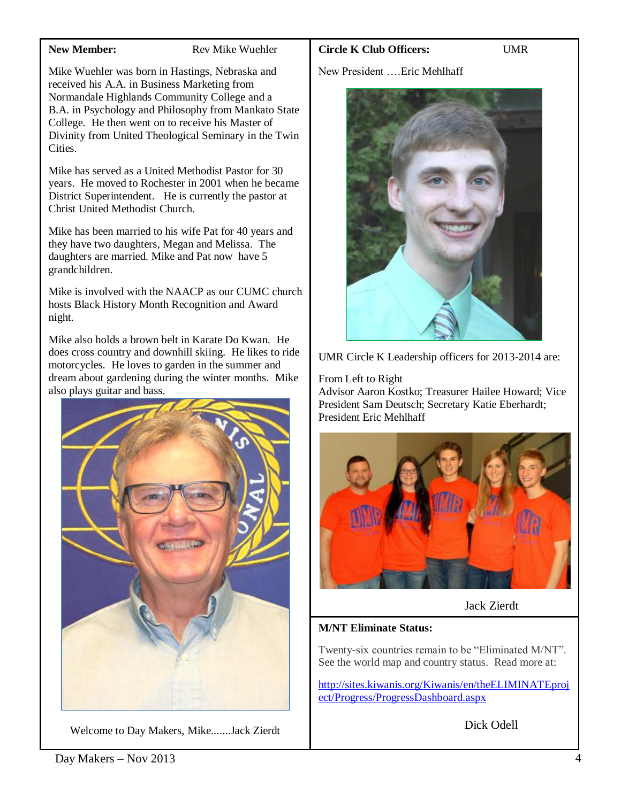#### **New Member:** Rev Mike Wuehler

Mike Wuehler was born in Hastings, Nebraska and received his A.A. in Business Marketing from Normandale Highlands Community College and a B.A. in Psychology and Philosophy from Mankato State College. He then went on to receive his Master of Divinity from United Theological Seminary in the Twin **Cities** 

Mike has served as a United Methodist Pastor for 30 years. He moved to Rochester in 2001 when he became District Superintendent. He is currently the pastor at Christ United Methodist Church.

Mike has been married to his wife Pat for 40 years and they have two daughters, Megan and Melissa. The daughters are married. Mike and Pat now have 5 grandchildren.

Mike is involved with the NAACP as our CUMC church hosts Black History Month Recognition and Award night.

Mike also holds a brown belt in Karate Do Kwan. He does cross country and downhill skiing. He likes to ride motorcycles. He loves to garden in the summer and dream about gardening during the winter months. Mike also plays guitar and bass.



Welcome to Day Makers, Mike.......Jack Zierdt

### **Circle K Club Officers:** UMR

New President ….Eric Mehlhaff



UMR Circle K Leadership officers for 2013-2014 are:

#### From Left to Right

Advisor Aaron Kostko; Treasurer Hailee Howard; Vice President Sam Deutsch; Secretary Katie Eberhardt; President Eric Mehlhaff



Jack Zierdt

### **M/NT Eliminate Status:**

Twenty-six countries remain to be "Eliminated M/NT". See the world map and country status. Read more at:

[http://sites.kiwanis.org/Kiwanis/en/theELIMINATEproj](http://sites.kiwanis.org/Kiwanis/en/theELIMINATEproject/Progress/ProgressDashboard.aspx) [ect/Progress/ProgressDashboard.aspx](http://sites.kiwanis.org/Kiwanis/en/theELIMINATEproject/Progress/ProgressDashboard.aspx)

Dick Odell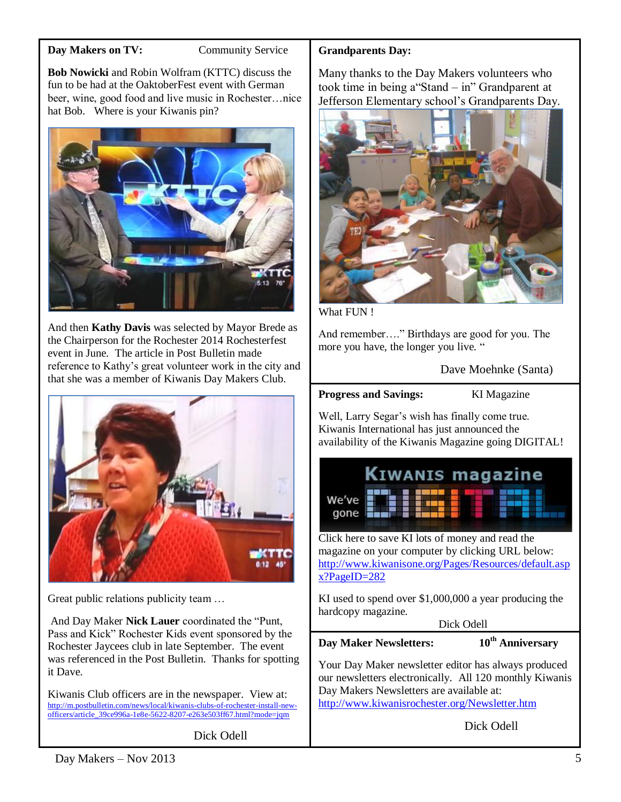#### **Day Makers on TV:** Community Service

**Bob Nowicki** and Robin Wolfram (KTTC) discuss the fun to be had at the OaktoberFest event with German beer, wine, good food and live music in Rochester...nice hat Bob. Where is your Kiwanis pin?



And then **Kathy Davis** was selected by Mayor Brede as the Chairperson for the Rochester 2014 Rochesterfest event in June. The article in Post Bulletin made reference to Kathy's great volunteer work in the city and that she was a member of Kiwanis Day Makers Club.



Great public relations publicity team …

And Day Maker **Nick Lauer** coordinated the "Punt, Pass and Kick" Rochester Kids event sponsored by the Rochester Jaycees club in late September. The event was referenced in the Post Bulletin. Thanks for spotting it Dave.

Kiwanis Club officers are in the newspaper. View at: [http://m.postbulletin.com/news/local/kiwanis-clubs-of-rochester-install-new](http://m.postbulletin.com/news/local/kiwanis-clubs-of-rochester-install-new-officers/article_39ce996a-1e8e-5622-8207-e263e503ff67.html?mode=jqm)[officers/article\\_39ce996a-1e8e-5622-8207-e263e503ff67.html?mode=jqm](http://m.postbulletin.com/news/local/kiwanis-clubs-of-rochester-install-new-officers/article_39ce996a-1e8e-5622-8207-e263e503ff67.html?mode=jqm)

Dick Odell

#### **Grandparents Day:**

Many thanks to the Day Makers volunteers who took time in being a"Stand – in" Grandparent at Jefferson Elementary school's Grandparents Day.



What FUN!

And remember…." Birthdays are good for you. The more you have, the longer you live. "

Dave Moehnke (Santa)

#### **Progress and Savings:** KI Magazine

Well, Larry Segar's wish has finally come true. Kiwanis International has just announced the availability of the Kiwanis Magazine going DIGITAL!

|                                   |  |  |  | <b>KIWANIS magazine</b> |  |
|-----------------------------------|--|--|--|-------------------------|--|
| We've <b>First Figure</b><br>gone |  |  |  |                         |  |

Click here to save KI lots of money and read the magazine on your computer by clicking URL below: [http://www.kiwanisone.org/Pages/Resources/default.asp](http://www.kiwanisone.org/Pages/Resources/default.aspx?PageID=282) [x?PageID=282](http://www.kiwanisone.org/Pages/Resources/default.aspx?PageID=282)

KI used to spend over \$1,000,000 a year producing the hardcopy magazine.

Dick Odell

**Day Maker Newsletters: 10th Anniversary** 

Your Day Maker newsletter editor has always produced our newsletters electronically. All 120 monthly Kiwanis Day Makers Newsletters are available at: <http://www.kiwanisrochester.org/Newsletter.htm>

Dick Odell